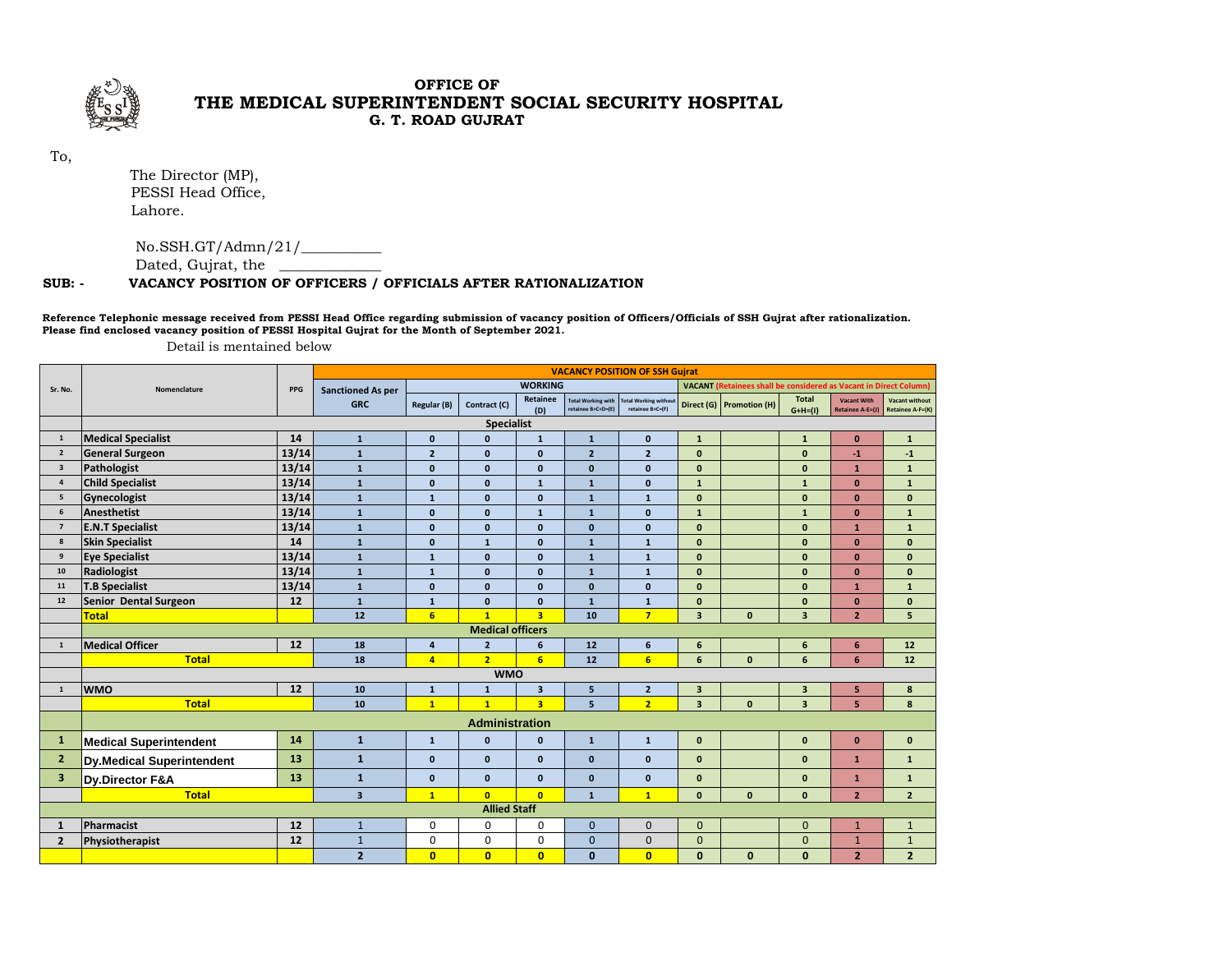

## $\alpha \stackrel{\star}{\sim}$   $\infty$  **G. T. ROAD GUJRAT THE MEDICAL SUPERINTENDENT SOCIAL SECURITY HOSPITAL**

To,

 The Director (MP), PESSI Head Office, Lahore.

No.SSH.GT/Admn/21/\_\_\_\_\_\_\_\_\_\_\_

Dated, Gujrat, the \_\_\_\_\_\_\_\_\_\_\_\_\_\_

## **SUB: - VACANCY POSITION OF OFFICERS / OFFICIALS AFTER RATIONALIZATION**

**Reference Telephonic message received from PESSI Head Office regarding submission of vacancy position of Officers/Officials of SSH Gujrat after rationalization. Please find enclosed vacancy position of PESSI Hospital Gujrat for the Month of September 2021.** 

Detail is mentained below

|                         | Nomenclature                     | PPG               | <b>VACANCY POSITION OF SSH Gujrat</b> |                |                         |                         |                                                 |                                                  |                         |                                                                          |                            |                                        |                                           |  |
|-------------------------|----------------------------------|-------------------|---------------------------------------|----------------|-------------------------|-------------------------|-------------------------------------------------|--------------------------------------------------|-------------------------|--------------------------------------------------------------------------|----------------------------|----------------------------------------|-------------------------------------------|--|
| Sr. No.                 |                                  |                   | <b>Sanctioned As per</b>              | <b>WORKING</b> |                         |                         |                                                 |                                                  |                         | <b>VACANT (Retainees shall be considered as Vacant in Direct Column)</b> |                            |                                        |                                           |  |
|                         |                                  |                   | <b>GRC</b>                            | Regular (B)    | Contract (C)            | Retainee<br>(D)         | <b>Total Working with</b><br>retainee B+C+D=(E) | <b>Total Working without</b><br>retainee B+C=(F) |                         | Direct (G) Promotion (H)                                                 | <b>Total</b><br>$G+H= (1)$ | <b>Vacant With</b><br>Retainee A-E=(J) | <b>Vacant without</b><br>Retainee A-F=(K) |  |
|                         |                                  | <b>Specialist</b> |                                       |                |                         |                         |                                                 |                                                  |                         |                                                                          |                            |                                        |                                           |  |
| $\mathbf{1}$            | <b>Medical Specialist</b>        | 14                | $\mathbf{1}$                          | $\mathbf{0}$   | $\mathbf{0}$            | $\mathbf{1}$            | $\mathbf{1}$                                    | $\mathbf{0}$                                     | $\mathbf{1}$            |                                                                          | $\mathbf{1}$               | $\mathbf{0}$                           | $\mathbf 1$                               |  |
| $\overline{\mathbf{2}}$ | <b>General Surgeon</b>           | 13/14             | $\mathbf{1}$                          | $\overline{2}$ | $\mathbf{0}$            | $\mathbf{0}$            | $\overline{2}$                                  | $\overline{2}$                                   | $\mathbf{0}$            |                                                                          | $\mathbf{0}$               | $\mathbf{1}$                           | $-1$                                      |  |
| $\overline{\mathbf{3}}$ | Pathologist                      | 13/14             | $\mathbf{1}$                          | $\mathbf{0}$   | $\mathbf{0}$            | $\mathbf{0}$            | $\mathbf{0}$                                    | $\mathbf{0}$                                     | $\Omega$                |                                                                          | $\mathbf{0}$               | $\mathbf{1}$                           | $\mathbf{1}$                              |  |
| $\overline{4}$          | <b>Child Specialist</b>          | 13/14             | $\mathbf 1$                           | $\mathbf{0}$   | $\mathbf{0}$            | $\mathbf{1}$            | $\mathbf{1}$                                    | $\mathbf{0}$                                     | $\mathbf{1}$            |                                                                          | $\mathbf{1}$               | $\mathbf{0}$                           | $\mathbf 1$                               |  |
| 5                       | Gynecologist                     | 13/14             | $\mathbf 1$                           | $\mathbf{1}$   | $\mathbf{0}$            | $\mathbf{0}$            | $\mathbf{1}$                                    | ${\bf 1}$                                        | $\mathbf{0}$            |                                                                          | $\mathbf{0}$               | $\mathbf{0}$                           | $\mathbf{0}$                              |  |
| 6                       | Anesthetist                      | 13/14             | $\mathbf 1$                           | $\pmb{0}$      | $\mathbf{0}$            | $\mathbf{1}$            | $\mathbf{1}$                                    | $\mathbf 0$                                      | $\mathbf{1}$            |                                                                          | $\mathbf{1}$               | $\mathbf{0}$                           | $\mathbf 1$                               |  |
| $\overline{\mathbf{z}}$ | <b>E.N.T Specialist</b>          | 13/14             | $\mathbf{1}$                          | $\mathbf{0}$   | $\mathbf{0}$            | $\mathbf{0}$            | $\mathbf{0}$                                    | $\mathbf{0}$                                     | $\mathbf{0}$            |                                                                          | $\mathbf{0}$               | $\mathbf{1}$                           | $\mathbf 1$                               |  |
| 8                       | <b>Skin Specialist</b>           | 14                | $\mathbf{1}$                          | $\mathbf{0}$   | $\mathbf{1}$            | $\mathbf{0}$            | $\mathbf{1}$                                    | $\mathbf{1}$                                     | $\mathbf{0}$            |                                                                          | $\mathbf{0}$               | $\mathbf{0}$                           | $\mathbf{0}$                              |  |
| 9                       | <b>Eye Specialist</b>            | 13/14             | $\mathbf{1}$                          | $\mathbf{1}$   | $\mathbf{0}$            | $\mathbf{0}$            | $\mathbf{1}$                                    | $\mathbf{1}$                                     | $\mathbf{0}$            |                                                                          | $\mathbf{0}$               | $\mathbf{0}$                           | $\mathbf{0}$                              |  |
| 10                      | Radiologist                      | 13/14             | $\mathbf{1}$                          | $\mathbf{1}$   | $\mathbf{0}$            | $\mathbf{0}$            | $\mathbf{1}$                                    | $\mathbf{1}$                                     | $\mathbf{0}$            |                                                                          | $\mathbf{0}$               | $\mathbf{0}$                           | $\mathbf{0}$                              |  |
| 11                      | <b>T.B Specialist</b>            | 13/14             | $\mathbf{1}$                          | $\mathbf{0}$   | $\mathbf{0}$            | $\Omega$                | $\mathbf{0}$                                    | $\mathbf{0}$                                     | $\mathbf{0}$            |                                                                          | $\mathbf{0}$               | $\mathbf{1}$                           | $\mathbf{1}$                              |  |
| 12                      | Senior Dental Surgeon            | 12                | $\mathbf{1}$                          | $\mathbf{1}$   | $\mathbf{0}$            | $\mathbf{0}$            | $\mathbf{1}$                                    | ${\bf 1}$                                        | $\mathbf{0}$            |                                                                          | $\mathbf{0}$               | $\mathbf{0}$                           | $\mathbf{0}$                              |  |
|                         | Total                            |                   | 12                                    | 6              | $\overline{1}$          | $\overline{\mathbf{3}}$ | 10                                              | $\overline{7}$                                   | $\overline{\mathbf{3}}$ | $\mathbf{0}$                                                             | $\overline{\mathbf{3}}$    | $\overline{2}$                         | 5                                         |  |
|                         |                                  |                   |                                       |                | <b>Medical officers</b> |                         |                                                 |                                                  |                         |                                                                          |                            |                                        |                                           |  |
| $\mathbf{1}$            | <b>Medical Officer</b>           | 12                | 18                                    | 4              | $\overline{2}$          | 6                       | 12                                              | 6                                                | 6                       |                                                                          | 6                          | 6                                      | 12                                        |  |
|                         | <b>Total</b>                     |                   | 18                                    | $\overline{a}$ | $\overline{2}$          | $6\overline{6}$         | 12                                              | $6\overline{6}$                                  | 6                       | $\mathbf{0}$                                                             | $6\phantom{1}6$            | 6                                      | 12                                        |  |
|                         |                                  |                   |                                       |                | <b>WMO</b>              |                         |                                                 |                                                  |                         |                                                                          |                            |                                        |                                           |  |
| $\mathbf{1}$            | <b>WMO</b>                       | 12                | 10                                    | $\mathbf{1}$   | $\mathbf{1}$            | $\overline{\mathbf{3}}$ | 5 <sup>1</sup>                                  | $\overline{2}$                                   | $\overline{3}$          |                                                                          | $\overline{\mathbf{3}}$    | 5                                      | 8                                         |  |
|                         | <b>Total</b>                     |                   | 10                                    | $\mathbf{1}$   | $\mathbf{1}$            | $\overline{\mathbf{3}}$ | 5                                               | $\overline{2}$                                   | $\overline{3}$          | $\mathbf{0}$                                                             | $\overline{\mathbf{3}}$    | 5                                      | 8                                         |  |
|                         | <b>Administration</b>            |                   |                                       |                |                         |                         |                                                 |                                                  |                         |                                                                          |                            |                                        |                                           |  |
| $\mathbf{1}$            | <b>Medical Superintendent</b>    | 14                | $\mathbf{1}$                          | ${\bf 1}$      | $\mathbf{0}$            | $\mathbf{0}$            | $\mathbf{1}$                                    | $\mathbf 1$                                      | $\mathbf{0}$            |                                                                          | $\mathbf{0}$               | $\mathbf{0}$                           | $\mathbf 0$                               |  |
| $\overline{2}$          | <b>Dy.Medical Superintendent</b> | 13                | $\mathbf{1}$                          | $\mathbf{0}$   | $\mathbf{0}$            | $\mathbf{0}$            | $\mathbf{0}$                                    | $\mathbf{0}$                                     | $\mathbf{0}$            |                                                                          | $\mathbf{0}$               | $\mathbf{1}$                           | $\mathbf{1}$                              |  |
| 3                       | Dy Director F&A                  | 13                | $\mathbf{1}$                          | $\mathbf{0}$   | $\mathbf{0}$            | $\mathbf{0}$            | $\mathbf{0}$                                    | $\mathbf{0}$                                     | $\mathbf{0}$            |                                                                          | $\mathbf{0}$               | $\mathbf{1}$                           | $\mathbf{1}$                              |  |
|                         | <b>Total</b>                     |                   | $\overline{\mathbf{3}}$               | $\mathbf{1}$   | $\mathbf{0}$            | $\mathbf{0}$            | $\mathbf{1}$                                    | $\mathbf{1}$                                     | $\mathbf{0}$            | $\mathbf{0}$                                                             | $\mathbf{0}$               | $\overline{2}$                         | $\overline{2}$                            |  |
| <b>Allied Staff</b>     |                                  |                   |                                       |                |                         |                         |                                                 |                                                  |                         |                                                                          |                            |                                        |                                           |  |
| $\mathbf{1}$            | Pharmacist                       | 12                | $\mathbf{1}$                          | $\mathbf 0$    | 0                       | $\mathbf 0$             | $\mathbf{0}$                                    | $\mathbf{0}$                                     | $\mathbf{0}$            |                                                                          | $\mathbf{0}$               | $\mathbf{1}$                           | $\mathbf{1}$                              |  |
| $\overline{2}$          | Physiotherapist                  | 12                | $\mathbf{1}$                          | $\mathbf 0$    | $\mathbf 0$             | $\mathbf 0$             | $\overline{0}$                                  | $\mathbf{0}$                                     | $\Omega$                |                                                                          | $\mathbf{0}$               | $\mathbf{1}$                           | $\mathbf{1}$                              |  |
|                         |                                  |                   | $\overline{2}$                        | $\overline{0}$ | $\overline{0}$          | $\overline{0}$          | $\mathbf{0}$                                    | $\overline{0}$                                   | $\mathbf{0}$            | $\mathbf{0}$                                                             | $\mathbf{0}$               | $\overline{2}$                         | $\overline{2}$                            |  |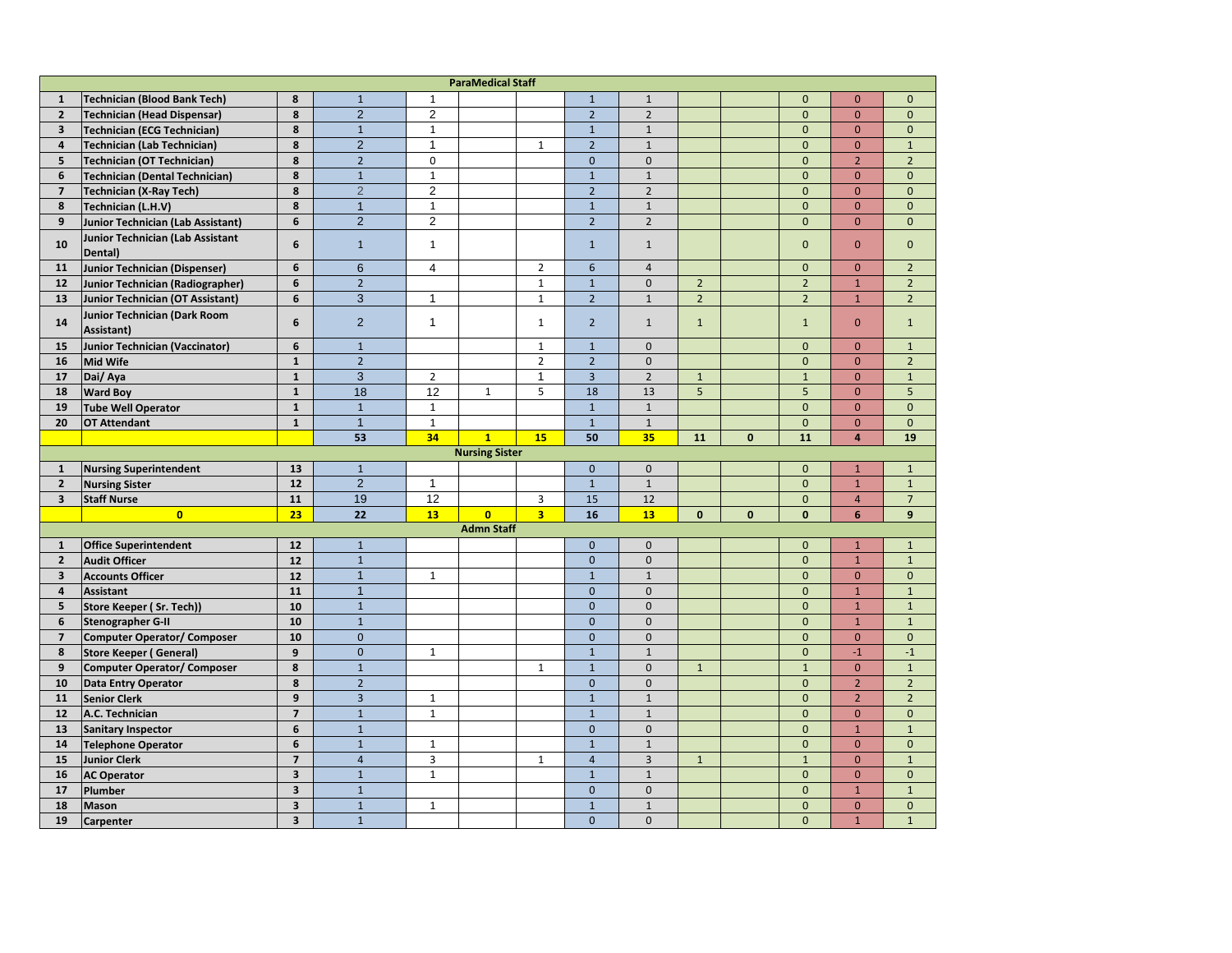| <b>ParaMedical Staff</b> |                                                                  |                         |                |                |                   |                |                |                |                |              |                |                 |                |
|--------------------------|------------------------------------------------------------------|-------------------------|----------------|----------------|-------------------|----------------|----------------|----------------|----------------|--------------|----------------|-----------------|----------------|
| $\mathbf{1}$             | <b>Technician (Blood Bank Tech)</b>                              | 8                       | $\mathbf{1}$   | $1\,$          |                   |                | $\mathbf{1}$   | $\mathbf{1}$   |                |              | $\overline{0}$ | $\overline{0}$  | $\mathbf{0}$   |
| $\overline{2}$           | <b>Technician (Head Dispensar)</b>                               | 8                       | $\overline{2}$ | $\overline{2}$ |                   |                | $\overline{2}$ | $\overline{2}$ |                |              | $\mathbf{0}$   | $\overline{0}$  | $\mathbf 0$    |
| $\overline{\mathbf{3}}$  | <b>Technician (ECG Technician)</b>                               | 8                       | $\mathbf{1}$   | $\mathbf{1}$   |                   |                | $\mathbf{1}$   | $\mathbf{1}$   |                |              | $\mathbf{0}$   | $\overline{0}$  | $\mathbf{0}$   |
| 4                        | <b>Technician (Lab Technician)</b>                               | 8                       | $\overline{2}$ | 1              |                   | $\mathbf{1}$   | $\overline{2}$ | $\mathbf 1$    |                |              | $\mathbf 0$    | $\overline{0}$  | $\mathbf{1}$   |
| 5                        | <b>Technician (OT Technician)</b>                                | 8                       | $\overline{2}$ | $\mathbf 0$    |                   |                | $\mathbf{0}$   | $\mathbf 0$    |                |              | $\mathbf 0$    | $\overline{2}$  | $\overline{2}$ |
| 6                        | <b>Technician (Dental Technician)</b>                            | 8                       | $\mathbf{1}$   | $\mathbf{1}$   |                   |                | $\mathbf{1}$   | $\mathbf{1}$   |                |              | $\mathbf 0$    | $\mathbf{0}$    | $\mathbf{0}$   |
| $\overline{7}$           | <b>Technician (X-Ray Tech)</b>                                   | 8                       | $\overline{2}$ | $\overline{2}$ |                   |                | $\overline{2}$ | $\overline{2}$ |                |              | $\mathbf 0$    | $\overline{0}$  | $\mathbf{0}$   |
| 8                        | Technician (L.H.V)                                               | 8                       | $\overline{1}$ | $\mathbf{1}$   |                   |                | $\mathbf{1}$   | $\mathbf{1}$   |                |              | $\mathbf{0}$   | $\overline{0}$  | $\mathbf{0}$   |
| 9                        | <b>Junior Technician (Lab Assistant)</b>                         | 6                       | $\overline{2}$ | $\overline{2}$ |                   |                | $\overline{2}$ | $\overline{2}$ |                |              | $\mathbf{0}$   | $\overline{0}$  | $\mathbf{0}$   |
| 10                       | Junior Technician (Lab Assistant<br>Dental)                      | 6                       | $\mathbf{1}$   | $\mathbf{1}$   |                   |                | $\mathbf{1}$   | $\mathbf{1}$   |                |              | $\Omega$       | $\overline{0}$  | $\mathbf{0}$   |
| 11                       | Junior Technician (Dispenser)                                    | 6                       | $6\phantom{1}$ | $\overline{4}$ |                   | $\overline{2}$ | $6\phantom{1}$ | $\overline{4}$ |                |              | $\mathbf{0}$   | $\overline{0}$  | $\overline{2}$ |
| 12                       | Junior Technician (Radiographer)                                 | 6                       | $\overline{2}$ |                |                   | $\mathbf 1$    | $\mathbf{1}$   | $\mathbf{0}$   | $\overline{2}$ |              | $\overline{2}$ | $\mathbf{1}$    | $\overline{2}$ |
| 13                       | <b>Junior Technician (OT Assistant)</b>                          | 6                       | 3              | $\mathbf{1}$   |                   | $1\,$          | $\overline{2}$ | $1\,$          | $2^{\circ}$    |              | $\overline{2}$ | $\mathbf{1}$    | $\overline{2}$ |
| 14                       | Junior Technician (Dark Room<br>Assistant)                       | 6                       | $\overline{2}$ | $\mathbf{1}$   |                   | $\mathbf{1}$   | $\overline{2}$ | $\mathbf{1}$   | $\mathbf{1}$   |              | $\mathbf{1}$   | $\mathbf{0}$    | $\mathbf{1}$   |
| 15                       | <b>Junior Technician (Vaccinator)</b>                            | 6                       | $\overline{1}$ |                |                   | $\mathbf{1}$   | $\mathbf{1}$   | $\pmb{0}$      |                |              | $\mathbf 0$    | $\mathbf{0}$    | $\mathbf{1}$   |
| 16                       | Mid Wife                                                         | $\mathbf{1}$            | $\mathbf 2$    |                |                   | $\overline{2}$ | $\overline{2}$ | $\mathbf 0$    |                |              | $\mathbf 0$    | $\overline{0}$  | $\overline{2}$ |
| 17                       | Dai/ Aya                                                         | $\mathbf{1}$            | $\overline{3}$ | $\overline{2}$ |                   | $\mathbf{1}$   | $\overline{3}$ | $\overline{2}$ | $\mathbf{1}$   |              | $\overline{1}$ | $\overline{0}$  | $\mathbf{1}$   |
| 18                       | <b>Ward Boy</b>                                                  | $\mathbf{1}$            | 18             | 12             | $\mathbf{1}$      | 5              | 18             | 13             | 5              |              | 5              | $\overline{0}$  | 5 <sup>5</sup> |
| 19                       | <b>Tube Well Operator</b>                                        | $\mathbf{1}$            | $\mathbf{1}$   | $\mathbf{1}$   |                   |                | $\mathbf{1}$   | $\mathbf{1}$   |                |              | $\mathbf{0}$   | $\overline{0}$  | $\mathbf{0}$   |
| 20                       | <b>OT Attendant</b>                                              | $\mathbf{1}$            | $\overline{1}$ | $\mathbf{1}$   |                   |                | $\mathbf{1}$   | $1\,$          |                |              | $\mathbf{0}$   | $\overline{0}$  | $\mathbf{0}$   |
|                          |                                                                  |                         | 53             | 34             | $\overline{1}$    | 15             | 50             | 35             | 11             | $\mathbf 0$  | 11             | $\overline{4}$  | 19             |
| <b>Nursing Sister</b>    |                                                                  |                         |                |                |                   |                |                |                |                |              |                |                 |                |
|                          |                                                                  |                         |                |                |                   |                |                |                |                |              |                |                 |                |
| $\mathbf{1}$             | <b>Nursing Superintendent</b>                                    | 13                      | $\mathbf{1}$   |                |                   |                | $\mathbf{0}$   | $\mathbf 0$    |                |              | $\mathbf{0}$   | $\mathbf{1}$    | $\mathbf{1}$   |
| $\overline{2}$           | <b>Nursing Sister</b>                                            | 12                      | $\overline{2}$ | $\mathbf{1}$   |                   |                | $\mathbf{1}$   | $1\,$          |                |              | $\mathbf 0$    | $\mathbf{1}$    | $\mathbf 1$    |
| $\overline{\mathbf{3}}$  | <b>Staff Nurse</b>                                               | 11                      | 19             | 12             |                   | 3              | 15             | 12             |                |              | $\mathbf 0$    | 4               | $\overline{7}$ |
|                          | $\mathbf{0}$                                                     | 23                      | 22             | 13             | $\mathbf{0}$      | $\overline{3}$ | 16             | 13             | $\mathbf{0}$   | $\mathbf{0}$ | $\mathbf{0}$   | $6\overline{6}$ | $\overline{9}$ |
|                          |                                                                  |                         |                |                | <b>Admn Staff</b> |                |                |                |                |              |                |                 |                |
| $\mathbf{1}$             | <b>Office Superintendent</b>                                     | 12                      | $\mathbf{1}$   |                |                   |                | $\mathbf{0}$   | $\mathbf 0$    |                |              | $\mathbf{0}$   | $\mathbf{1}$    | $\mathbf{1}$   |
| $\overline{2}$           | <b>Audit Officer</b>                                             | 12                      | $\mathbf{1}$   |                |                   |                | $\mathbf{0}$   | $\mathbf{0}$   |                |              | $\mathbf{0}$   | $\mathbf{1}$    | $\mathbf 1$    |
| $\overline{\mathbf{3}}$  | <b>Accounts Officer</b>                                          | 12                      | $\overline{1}$ | $\mathbf{1}$   |                   |                | $\mathbf{1}$   | $\mathbf{1}$   |                |              | $\mathbf{0}$   | $\overline{0}$  | $\mathbf{0}$   |
| $\overline{\mathbf{4}}$  | <b>Assistant</b>                                                 | 11                      | $\overline{1}$ |                |                   |                | $\mathbf{0}$   | $\mathbf{0}$   |                |              | $\mathbf{0}$   | $\mathbf{1}$    | $\mathbf{1}$   |
| 5                        | Store Keeper (Sr. Tech))                                         | 10                      | $\mathbf{1}$   |                |                   |                | $\mathbf{0}$   | $\mathbf{0}$   |                |              | $\mathbf{0}$   | $\mathbf{1}$    | $\mathbf{1}$   |
| 6                        | <b>Stenographer G-II</b>                                         | 10                      | $\mathbf{1}$   |                |                   |                | $\mathbf{0}$   | $\mathbf{0}$   |                |              | $\mathbf{0}$   | $\mathbf{1}$    | $1\,$          |
| $\overline{7}$           | <b>Computer Operator/ Composer</b>                               | 10                      | $\overline{0}$ |                |                   |                | $\Omega$       | $\mathbf{0}$   |                |              | $\Omega$       | $\overline{0}$  | $\Omega$       |
| 8                        | <b>Store Keeper (General)</b>                                    | 9                       | $\overline{0}$ | $\mathbf{1}$   |                   |                | $\overline{1}$ | $\overline{1}$ |                |              | $\overline{0}$ | $-1$            | $-1$           |
| $\boldsymbol{9}$         |                                                                  | 8                       | $\mathbf{1}$   |                |                   | $\mathbf{1}$   | $\overline{1}$ | $\mathbf 0$    | $\mathbf{1}$   |              | $\overline{1}$ | $\overline{0}$  | $\mathbf{1}$   |
| 10                       | <b>Computer Operator/ Composer</b><br><b>Data Entry Operator</b> | 8                       | $\overline{2}$ |                |                   |                | $\mathbf{0}$   | $\mathbf{0}$   |                |              | $\mathbf{0}$   | $\overline{2}$  | $\overline{2}$ |
| 11                       | <b>Senior Clerk</b>                                              | 9                       | $\overline{3}$ | $\mathbf{1}$   |                   |                | $\mathbf{1}$   | $1\,$          |                |              | $\mathbf{0}$   | $\overline{2}$  | $\overline{2}$ |
| 12                       | A.C. Technician                                                  | $\overline{7}$          | $\mathbf{1}$   | $\mathbf{1}$   |                   |                | $\mathbf{1}$   | $1\,$          |                |              | $\mathbf{0}$   | $\overline{0}$  | $\mathbf{0}$   |
| 13                       | <b>Sanitary Inspector</b>                                        | 6                       | $\mathbf{1}$   |                |                   |                | $\mathbf 0$    | $\mathbf 0$    |                |              | $\mathbf 0$    | $\mathbf{1}$    | $\mathbf{1}$   |
| 14                       | <b>Telephone Operator</b>                                        | 6                       | $\mathbf{1}$   | $\mathbf{1}$   |                   |                | $\mathbf{1}$   | $\mathbf{1}$   |                |              | $\mathbf{0}$   | $\overline{0}$  | $\mathbf{0}$   |
| 15                       | <b>Junior Clerk</b>                                              | $\overline{7}$          | $\overline{4}$ | $\overline{3}$ |                   | $\mathbf{1}$   | $\overline{4}$ | $\overline{3}$ | $\mathbf{1}$   |              | $\mathbf{1}$   | $\mathbf{0}$    | $\mathbf{1}$   |
| 16                       | <b>AC Operator</b>                                               | $\overline{\mathbf{3}}$ | $\mathbf{1}$   | $1\,$          |                   |                | $\mathbf{1}$   | $\mathbf{1}$   |                |              | $\mathbf 0$    | $\overline{0}$  | $\mathbf{0}$   |
| 17                       | Plumber                                                          | $\overline{\mathbf{3}}$ | $\overline{1}$ |                |                   |                | $\overline{0}$ | $\mathbf{0}$   |                |              | $\mathbf{0}$   | $\overline{1}$  | $\mathbf{1}$   |
| 18                       | <b>Mason</b>                                                     | $\overline{\mathbf{3}}$ | $\mathbf{1}$   | $\mathbf{1}$   |                   |                | $\mathbf{1}$   | $\mathbf{1}$   |                |              | $\mathbf{0}$   | $\overline{0}$  | $\mathbf{0}$   |